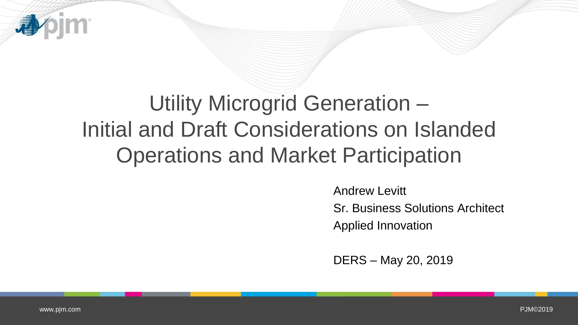## Utility Microgrid Generation – Initial and Draft Considerations on Islanded Operations and Market Participation

Andrew Levitt Sr. Business Solutions Architect Applied Innovation

DERS – May 20, 2019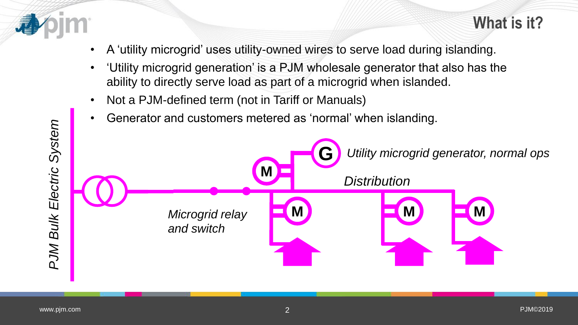

- A 'utility microgrid' uses utility-owned wires to serve load during islanding.
- 'Utility microgrid generation' is a PJM wholesale generator that also has the ability to directly serve load as part of a microgrid when islanded.
- Not a PJM-defined term (not in Tariff or Manuals)
- Generator and customers metered as 'normal' when islanding.

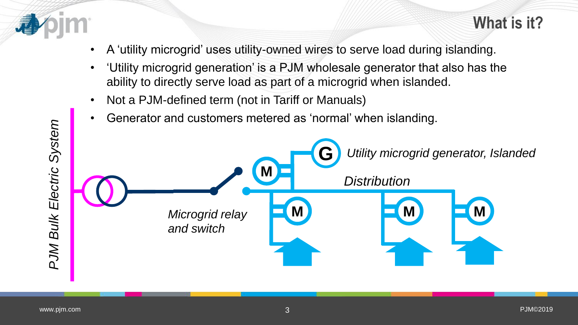

- A 'utility microgrid' uses utility-owned wires to serve load during islanding.
- 'Utility microgrid generation' is a PJM wholesale generator that also has the ability to directly serve load as part of a microgrid when islanded.
- Not a PJM-defined term (not in Tariff or Manuals)
- Generator and customers metered as 'normal' when islanding.

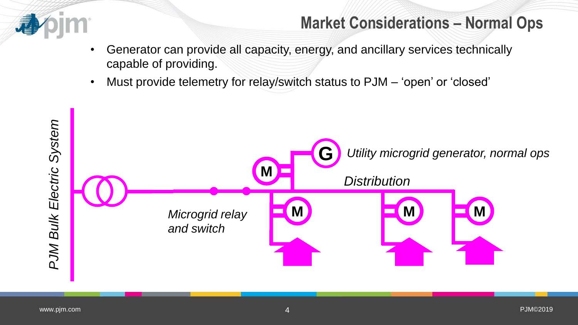

## **Market Considerations – Normal Ops**

- Generator can provide all capacity, energy, and ancillary services technically capable of providing.
- Must provide telemetry for relay/switch status to PJM 'open' or 'closed'

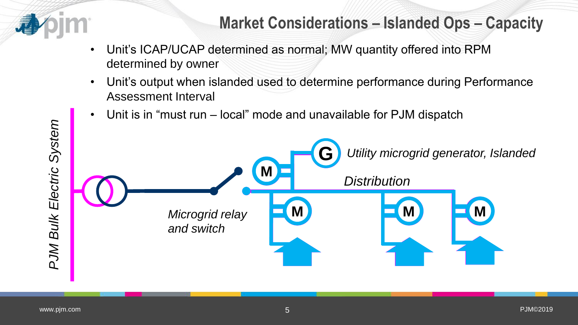

- Unit's ICAP/UCAP determined as normal; MW quantity offered into RPM determined by owner
- Unit's output when islanded used to determine performance during Performance Assessment Interval
- Unit is in "must run local" mode and unavailable for PJM dispatch

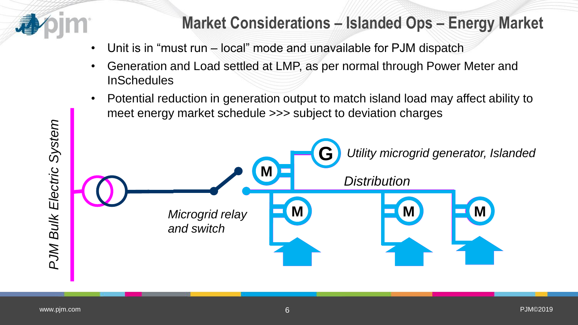

## **Market Considerations – Islanded Ops – Energy Market**

- Unit is in "must run local" mode and unavailable for PJM dispatch
- Generation and Load settled at LMP, as per normal through Power Meter and **InSchedules**
- Potential reduction in generation output to match island load may affect ability to meet energy market schedule >>> subject to deviation charges